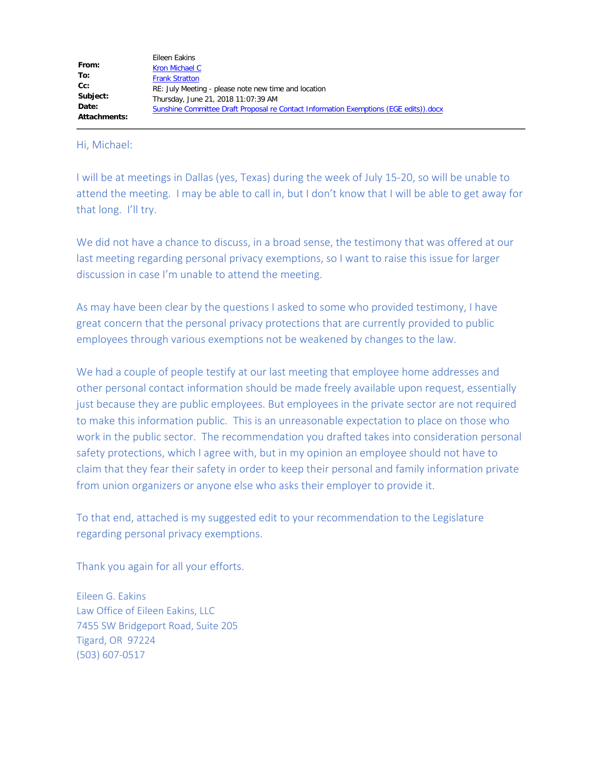Hi, Michael:

I will be at meetings in Dallas (yes, Texas) during the week of July 15-20, so will be unable to attend the meeting. I may be able to call in, but I don't know that I will be able to get away for that long. I'll try.

We did not have a chance to discuss, in a broad sense, the testimony that was offered at our last meeting regarding personal privacy exemptions, so I want to raise this issue for larger discussion in case I'm unable to attend the meeting.

As may have been clear by the questions I asked to some who provided testimony, I have great concern that the personal privacy protections that are currently provided to public employees through various exemptions not be weakened by changes to the law.

We had a couple of people testify at our last meeting that employee home addresses and other personal contact information should be made freely available upon request, essentially just because they are public employees. But employees in the private sector are not required to make this information public. This is an unreasonable expectation to place on those who work in the public sector. The recommendation you drafted takes into consideration personal safety protections, which I agree with, but in my opinion an employee should not have to claim that they fear their safety in order to keep their personal and family information private from union organizers or anyone else who asks their employer to provide it.

To that end, attached is my suggested edit to your recommendation to the Legislature regarding personal privacy exemptions.

Thank you again for all your efforts.

Eileen G. Eakins Law Office of Eileen Eakins, LLC 7455 SW Bridgeport Road, Suite 205 Tigard, OR 97224 (503) 607-0517